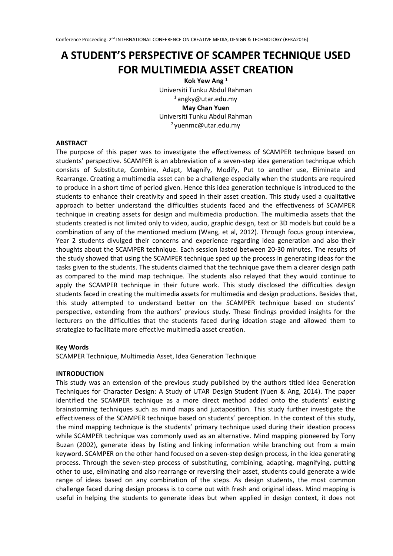# **A STUDENT'S PERSPECTIVE OF SCAMPER TECHNIQUE USED FOR MULTIMEDIA ASSET CREATION**

**Kok Yew Ang** <sup>1</sup> Universiti Tunku Abdul Rahman <sup>1</sup>angky@utar.edu.my **May Chan Yuen** Universiti Tunku Abdul Rahman <sup>2</sup>yuenmc@utar.edu.my

#### **ABSTRACT**

The purpose of this paper was to investigate the effectiveness of SCAMPER technique based on students' perspective. SCAMPER is an abbreviation of a seven-step idea generation technique which consists of Substitute, Combine, Adapt, Magnify, Modify, Put to another use, Eliminate and Rearrange. Creating a multimedia asset can be a challenge especially when the students are required to produce in a short time of period given. Hence this idea generation technique is introduced to the students to enhance their creativity and speed in their asset creation. This study used a qualitative approach to better understand the difficulties students faced and the effectiveness of SCAMPER technique in creating assets for design and multimedia production. The multimedia assets that the students created is not limited only to video, audio, graphic design, text or 3D models but could be a combination of any of the mentioned medium (Wang, et al, 2012). Through focus group interview, Year 2 students divulged their concerns and experience regarding idea generation and also their thoughts about the SCAMPER technique. Each session lasted between 20-30 minutes. The results of the study showed that using the SCAMPER technique sped up the process in generating ideas for the tasks given to the students. The students claimed that the technique gave them a clearer design path as compared to the mind map technique. The students also relayed that they would continue to apply the SCAMPER technique in their future work. This study disclosed the difficulties design students faced in creating the multimedia assets for multimedia and design productions. Besides that, this study attempted to understand better on the SCAMPER technique based on students' perspective, extending from the authors' previous study. These findings provided insights for the lecturers on the difficulties that the students faced during ideation stage and allowed them to strategize to facilitate more effective multimedia asset creation.

# **Key Words**

SCAMPER Technique, Multimedia Asset, Idea Generation Technique

#### **INTRODUCTION**

This study was an extension of the previous study published by the authors titled Idea Generation Techniques for Character Design: A Study of UTAR Design Student (Yuen & Ang, 2014). The paper identified the SCAMPER technique as a more direct method added onto the students' existing brainstorming techniques such as mind maps and juxtaposition. This study further investigate the effectiveness of the SCAMPER technique based on students' perception. In the context of this study, the mind mapping technique is the students' primary technique used during their ideation process while SCAMPER technique was commonly used as an alternative. Mind mapping pioneered by Tony Buzan (2002), generate ideas by listing and linking information while branching out from a main keyword. SCAMPER on the other hand focused on a seven-step design process, in the idea generating process. Through the seven-step process of substituting, combining, adapting, magnifying, putting other to use, eliminating and also rearrange or reversing their asset, students could generate a wide range of ideas based on any combination of the steps. As design students, the most common challenge faced during design process is to come out with fresh and original ideas. Mind mapping is useful in helping the students to generate ideas but when applied in design context, it does not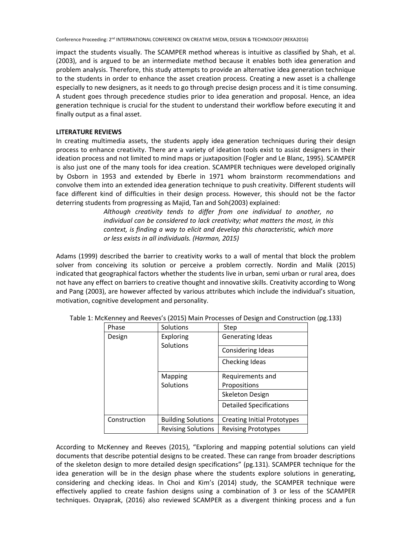impact the students visually. The SCAMPER method whereas is intuitive as classified by Shah, et al. (2003), and is argued to be an intermediate method because it enables both idea generation and problem analysis. Therefore, this study attempts to provide an alternative idea generation technique to the students in order to enhance the asset creation process. Creating a new asset is a challenge especially to new designers, as it needs to go through precise design process and it is time consuming. A student goes through precedence studies prior to idea generation and proposal. Hence, an idea generation technique is crucial for the student to understand their workflow before executing it and finally output as a final asset.

#### **LITERATURE REVIEWS**

In creating multimedia assets, the students apply idea generation techniques during their design process to enhance creativity. There are a variety of ideation tools exist to assist designers in their ideation process and not limited to mind maps or juxtaposition (Fogler and Le Blanc, 1995). SCAMPER is also just one of the many tools for idea creation. SCAMPER techniques were developed originally by Osborn in 1953 and extended by Eberle in 1971 whom brainstorm recommendations and convolve them into an extended idea generation technique to push creativity. Different students will face different kind of difficulties in their design process. However, this should not be the factor deterring students from progressing as Majid, Tan and Soh(2003) explained:

> *Although creativity tends to differ from one individual to another, no individual can be considered to lack creativity; what matters the most, in this context, is finding a way to elicit and develop this characteristic, which more or less exists in all individuals. (Harman, 2015)*

Adams (1999) described the barrier to creativity works to a wall of mental that block the problem solver from conceiving its solution or perceive a problem correctly. Nordin and Malik (2015) indicated that geographical factors whether the students live in urban, semi urban or rural area, does not have any effect on barriers to creative thought and innovative skills. Creativity according to Wong and Pang (2003), are however affected by various attributes which include the individual's situation, motivation, cognitive development and personality.

| Phase        | Solutions                 | Step                                |
|--------------|---------------------------|-------------------------------------|
| Design       | Exploring                 | <b>Generating Ideas</b>             |
|              | Solutions                 | Considering Ideas<br>Checking Ideas |
|              | Mapping                   | Requirements and                    |
|              | Solutions                 | Propositions                        |
|              |                           | Skeleton Design                     |
|              |                           | <b>Detailed Specifications</b>      |
| Construction | <b>Building Solutions</b> | <b>Creating Initial Prototypes</b>  |
|              | <b>Revising Solutions</b> | <b>Revising Prototypes</b>          |

Table 1: McKenney and Reeves's (2015) Main Processes of Design and Construction (pg.133)

According to McKenney and Reeves (2015), "Exploring and mapping potential solutions can yield documents that describe potential designs to be created. These can range from broader descriptions of the skeleton design to more detailed design specifications" (pg.131). SCAMPER technique for the idea generation will be in the design phase where the students explore solutions in generating, considering and checking ideas. In Choi and Kim's (2014) study, the SCAMPER technique were effectively applied to create fashion designs using a combination of 3 or less of the SCAMPER techniques. Ozyaprak, (2016) also reviewed SCAMPER as a divergent thinking process and a fun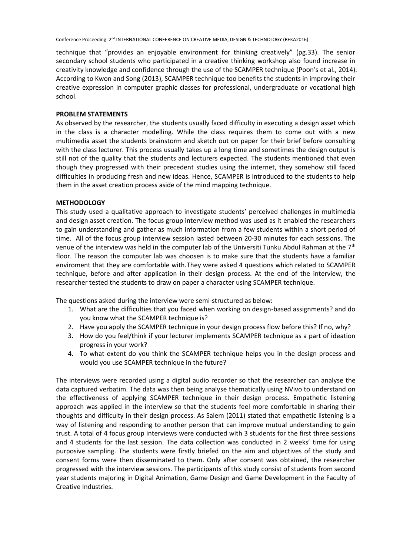technique that "provides an enjoyable environment for thinking creatively" (pg.33). The senior secondary school students who participated in a creative thinking workshop also found increase in creativity knowledge and confidence through the use of the SCAMPER technique (Poon's et al., 2014). According to Kwon and Song (2013), SCAMPER technique too benefits the students in improving their creative expression in computer graphic classes for professional, undergraduate or vocational high school.

#### **PROBLEM STATEMENTS**

As observed by the researcher, the students usually faced difficulty in executing a design asset which in the class is a character modelling. While the class requires them to come out with a new multimedia asset the students brainstorm and sketch out on paper for their brief before consulting with the class lecturer. This process usually takes up a long time and sometimes the design output is still not of the quality that the students and lecturers expected. The students mentioned that even though they progressed with their precedent studies using the internet, they somehow still faced difficulties in producing fresh and new ideas. Hence, SCAMPER is introduced to the students to help them in the asset creation process aside of the mind mapping technique.

#### **METHODOLOGY**

This study used a qualitative approach to investigate students' perceived challenges in multimedia and design asset creation. The focus group interview method was used as it enabled the researchers to gain understanding and gather as much information from a few students within a short period of time. All of the focus group interview session lasted between 20-30 minutes for each sessions. The venue of the interview was held in the computer lab of the Universiti Tunku Abdul Rahman at the 7th floor. The reason the computer lab was choosen is to make sure that the students have a familiar enviroment that they are comfortable with.They were asked 4 questions which related to SCAMPER technique, before and after application in their design process. At the end of the interview, the researcher tested the students to draw on paper a character using SCAMPER technique.

The questions asked during the interview were semi-structured as below:

- 1. What are the difficulties that you faced when working on design-based assignments? and do you know what the SCAMPER technique is?
- 2. Have you apply the SCAMPER technique in your design process flow before this? If no, why?
- 3. How do you feel/think if your lecturer implements SCAMPER technique as a part of ideation progress in your work?
- 4. To what extent do you think the SCAMPER technique helps you in the design process and would you use SCAMPER technique in the future?

The interviews were recorded using a digital audio recorder so that the researcher can analyse the data captured verbatim. The data was then being analyse thematically using NVivo to understand on the effectiveness of applying SCAMPER technique in their design process. Empathetic listening approach was applied in the interview so that the students feel more comfortable in sharing their thoughts and difficulty in their design process. As Salem (2011) stated that empathetic listening is a way of listening and responding to another person that can improve mutual understanding to gain trust. A total of 4 focus group interviews were conducted with 3 students for the first three sessions and 4 students for the last session. The data collection was conducted in 2 weeks' time for using purposive sampling. The students were firstly briefed on the aim and objectives of the study and consent forms were then disseminated to them. Only after consent was obtained, the researcher progressed with the interview sessions. The participants of this study consist of students from second year students majoring in Digital Animation, Game Design and Game Development in the Faculty of Creative Industries.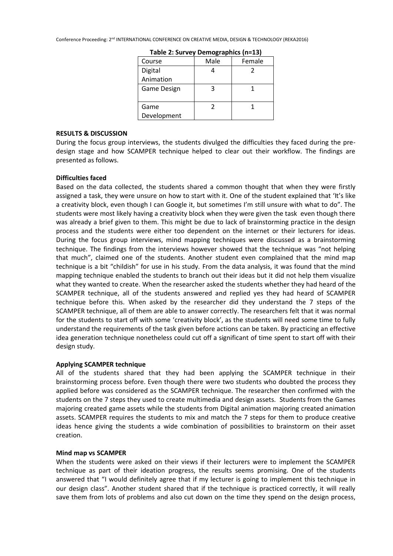| Course      | Male | Female |
|-------------|------|--------|
| Digital     |      |        |
| Animation   |      |        |
| Game Design |      |        |
|             |      |        |
| Game        |      |        |
| Development |      |        |

**Table 2: Survey Demographics (n=13)**

#### **RESULTS & DISCUSSION**

During the focus group interviews, the students divulged the difficulties they faced during the predesign stage and how SCAMPER technique helped to clear out their workflow. The findings are presented as follows.

# **Difficulties faced**

Based on the data collected, the students shared a common thought that when they were firstly assigned a task, they were unsure on how to start with it. One of the student explained that 'It's like a creativity block, even though I can Google it, but sometimes I'm still unsure with what to do". The students were most likely having a creativity block when they were given the task even though there was already a brief given to them. This might be due to lack of brainstorming practice in the design process and the students were either too dependent on the internet or their lecturers for ideas. During the focus group interviews, mind mapping techniques were discussed as a brainstorming technique. The findings from the interviews however showed that the technique was "not helping that much", claimed one of the students. Another student even complained that the mind map technique is a bit "childish" for use in his study. From the data analysis, it was found that the mind mapping technique enabled the students to branch out their ideas but it did not help them visualize what they wanted to create. When the researcher asked the students whether they had heard of the SCAMPER technique, all of the students answered and replied yes they had heard of SCAMPER technique before this. When asked by the researcher did they understand the 7 steps of the SCAMPER technique, all of them are able to answer correctly. The researchers felt that it was normal for the students to start off with some 'creativity block', as the students will need some time to fully understand the requirements of the task given before actions can be taken. By practicing an effective idea generation technique nonetheless could cut off a significant of time spent to start off with their design study.

# **Applying SCAMPER technique**

All of the students shared that they had been applying the SCAMPER technique in their brainstorming process before. Even though there were two students who doubted the process they applied before was considered as the SCAMPER technique. The researcher then confirmed with the students on the 7 steps they used to create multimedia and design assets. Students from the Games majoring created game assets while the students from Digital animation majoring created animation assets. SCAMPER requires the students to mix and match the 7 steps for them to produce creative ideas hence giving the students a wide combination of possibilities to brainstorm on their asset creation.

# **Mind map vs SCAMPER**

When the students were asked on their views if their lecturers were to implement the SCAMPER technique as part of their ideation progress, the results seems promising. One of the students answered that "I would definitely agree that if my lecturer is going to implement this technique in our design class". Another student shared that if the technique is practiced correctly, it will really save them from lots of problems and also cut down on the time they spend on the design process,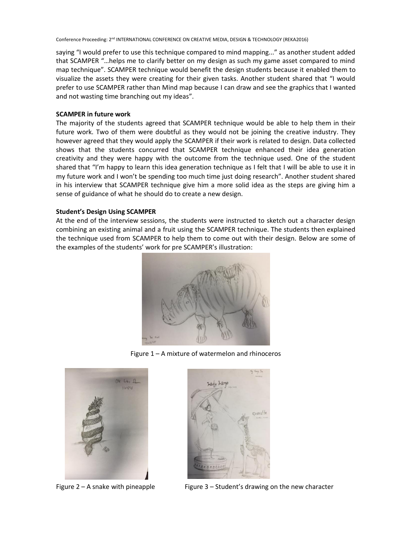saying "I would prefer to use this technique compared to mind mapping..." as another student added that SCAMPER "…helps me to clarify better on my design as such my game asset compared to mind map technique". SCAMPER technique would benefit the design students because it enabled them to visualize the assets they were creating for their given tasks. Another student shared that "I would prefer to use SCAMPER rather than Mind map because I can draw and see the graphics that I wanted and not wasting time branching out my ideas".

# **SCAMPER in future work**

The majority of the students agreed that SCAMPER technique would be able to help them in their future work. Two of them were doubtful as they would not be joining the creative industry. They however agreed that they would apply the SCAMPER if their work is related to design. Data collected shows that the students concurred that SCAMPER technique enhanced their idea generation creativity and they were happy with the outcome from the technique used. One of the student shared that "I'm happy to learn this idea generation technique as I felt that I will be able to use it in my future work and I won't be spending too much time just doing research". Another student shared in his interview that SCAMPER technique give him a more solid idea as the steps are giving him a sense of guidance of what he should do to create a new design.

# **Student's Design Using SCAMPER**

At the end of the interview sessions, the students were instructed to sketch out a character design combining an existing animal and a fruit using the SCAMPER technique. The students then explained the technique used from SCAMPER to help them to come out with their design. Below are some of the examples of the students' work for pre SCAMPER's illustration:



Figure 1 – A mixture of watermelon and rhinoceros





Figure  $2 - A$  snake with pineapple Figure  $3 - S$  Student's drawing on the new character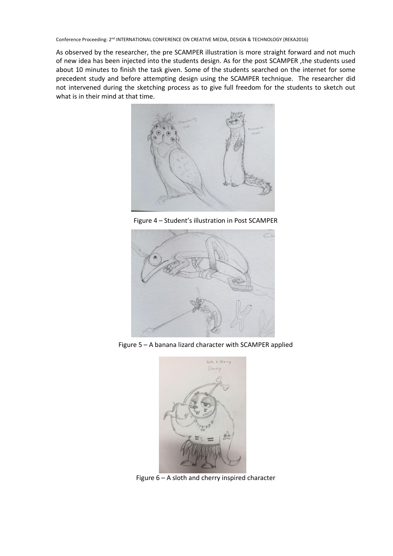As observed by the researcher, the pre SCAMPER illustration is more straight forward and not much of new idea has been injected into the students design. As for the post SCAMPER ,the students used about 10 minutes to finish the task given. Some of the students searched on the internet for some precedent study and before attempting design using the SCAMPER technique. The researcher did not intervened during the sketching process as to give full freedom for the students to sketch out what is in their mind at that time.



Figure 4 – Student's illustration in Post SCAMPER



Figure 5 – A banana lizard character with SCAMPER applied



Figure 6 – A sloth and cherry inspired character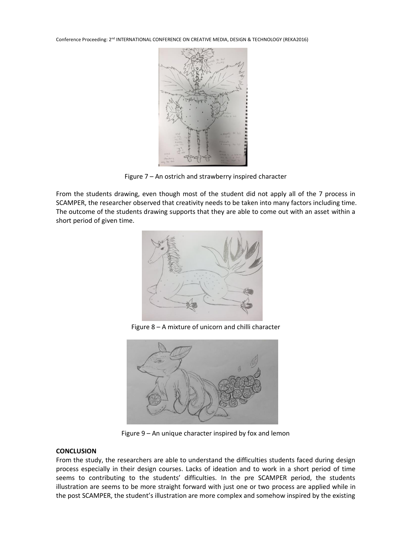

Figure 7 – An ostrich and strawberry inspired character

From the students drawing, even though most of the student did not apply all of the 7 process in SCAMPER, the researcher observed that creativity needs to be taken into many factors including time. The outcome of the students drawing supports that they are able to come out with an asset within a short period of given time.



Figure 8 – A mixture of unicorn and chilli character



Figure 9 – An unique character inspired by fox and lemon

# **CONCLUSION**

From the study, the researchers are able to understand the difficulties students faced during design process especially in their design courses. Lacks of ideation and to work in a short period of time seems to contributing to the students' difficulties. In the pre SCAMPER period, the students illustration are seems to be more straight forward with just one or two process are applied while in the post SCAMPER, the student's illustration are more complex and somehow inspired by the existing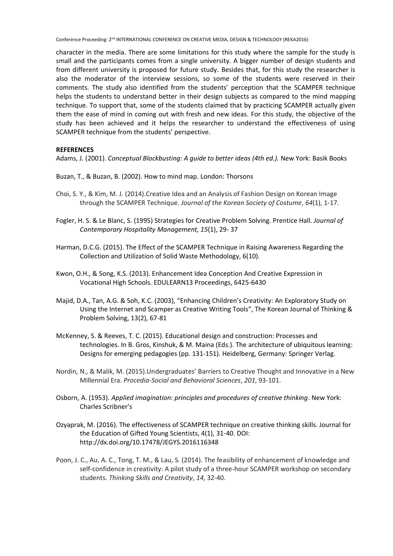character in the media. There are some limitations for this study where the sample for the study is small and the participants comes from a single university. A bigger number of design students and from different university is proposed for future study. Besides that, for this study the researcher is also the moderator of the interview sessions, so some of the students were reserved in their comments. The study also identified from the students' perception that the SCAMPER technique helps the students to understand better in their design subjects as compared to the mind mapping technique. To support that, some of the students claimed that by practicing SCAMPER actually given them the ease of mind in coming out with fresh and new ideas. For this study, the objective of the study has been achieved and it helps the researcher to understand the effectiveness of using SCAMPER technique from the students' perspective.

# **REFERENCES**

Adams, J. (2001). *Conceptual Blockbusting: A guide to better ideas (4th ed.).* New York: Basik Books

- Buzan, T., & Buzan, B. (2002). How to mind map. London: Thorsons
- Choi, S. Y., & Kim, M. J. (2014).Creative Idea and an Analysis of Fashion Design on Korean Image through the SCAMPER Technique. *Journal of the Korean Society of Costume*, *64*(1), 1-17.
- Fogler, H. S. & Le Blanc, S. (1995) Strategies for Creative Problem Solving. Prentice Hall. *Journal of Contemporary Hospitality Management, 15*(1), 29- 37
- Harman, D.C.G. (2015). The Effect of the SCAMPER Technique in Raising Awareness Regarding the Collection and Utilization of Solid Waste Methodology, 6(10).
- Kwon, O.H., & Song, K.S. (2013). Enhancement Idea Conception And Creative Expression in Vocational High Schools. EDULEARN13 Proceedings, 6425-6430
- Majid, D.A., Tan, A.G. & Soh, K.C. (2003), "Enhancing Children's Creativity: An Exploratory Study on Using the Internet and Scamper as Creative Writing Tools", The Korean Journal of Thinking & Problem Solving, 13(2), 67-81
- McKenney, S. & Reeves, T. C. (2015). Educational design and construction: Processes and technologies. In B. Gros, Kinshuk, & M. Maina (Eds.). The architecture of ubiquitous learning: Designs for emerging pedagogies (pp. 131-151). Heidelberg, Germany: Springer Verlag.
- Nordin, N., & Malik, M. (2015).Undergraduates' Barriers to Creative Thought and Innovative in a New Millennial Era. *Procedia-Social and Behavioral Sciences*, *201*, 93-101.
- Osborn, A. (1953). *Applied imagination: principles and procedures of creative thinking*. New York: Charles Scribner's
- Ozyaprak, M. (2016). The effectiveness of SCAMPER technique on creative thinking skills. Journal for the Education of Gifted Young Scientists, 4(1), 31-40. DOI: http://dx.doi.org/10.17478/JEGYS.2016116348
- Poon, J. C., Au, A. C., Tong, T. M., & Lau, S. (2014). The feasibility of enhancement of knowledge and self-confidence in creativity: A pilot study of a three-hour SCAMPER workshop on secondary students. *Thinking Skills and Creativity*, *14*, 32-40.